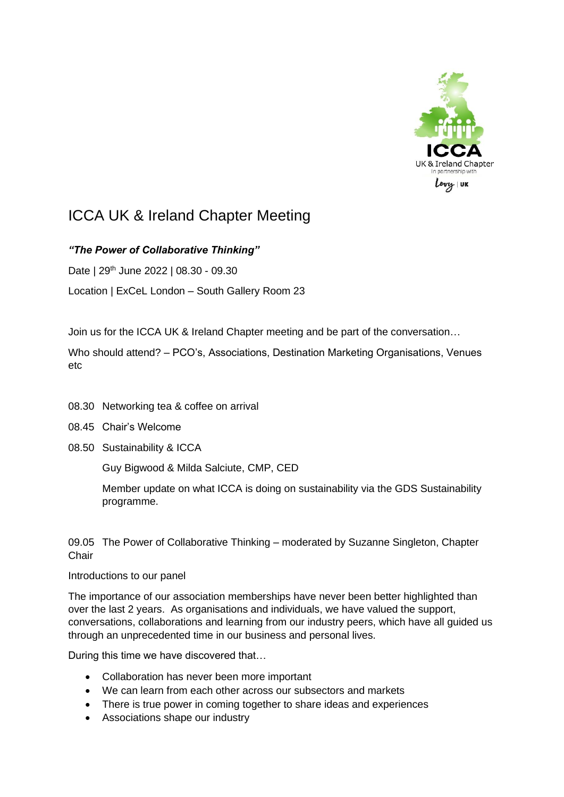

## ICCA UK & Ireland Chapter Meeting

## *"The Power of Collaborative Thinking"*

Date | 29<sup>th</sup> June 2022 | 08.30 - 09.30

Location | ExCeL London – South Gallery Room 23

Join us for the ICCA UK & Ireland Chapter meeting and be part of the conversation…

Who should attend? – PCO's, Associations, Destination Marketing Organisations, Venues etc

- 08.30 Networking tea & coffee on arrival
- 08.45 Chair's Welcome
- 08.50 Sustainability & ICCA

Guy Bigwood & Milda Salciute, CMP, CED

Member update on what ICCA is doing on sustainability via the GDS Sustainability programme.

09.05 The Power of Collaborative Thinking – moderated by Suzanne Singleton, Chapter **Chair** 

## Introductions to our panel

The importance of our association memberships have never been better highlighted than over the last 2 years. As organisations and individuals, we have valued the support, conversations, collaborations and learning from our industry peers, which have all guided us through an unprecedented time in our business and personal lives.

During this time we have discovered that…

- Collaboration has never been more important
- We can learn from each other across our subsectors and markets
- There is true power in coming together to share ideas and experiences
- Associations shape our industry